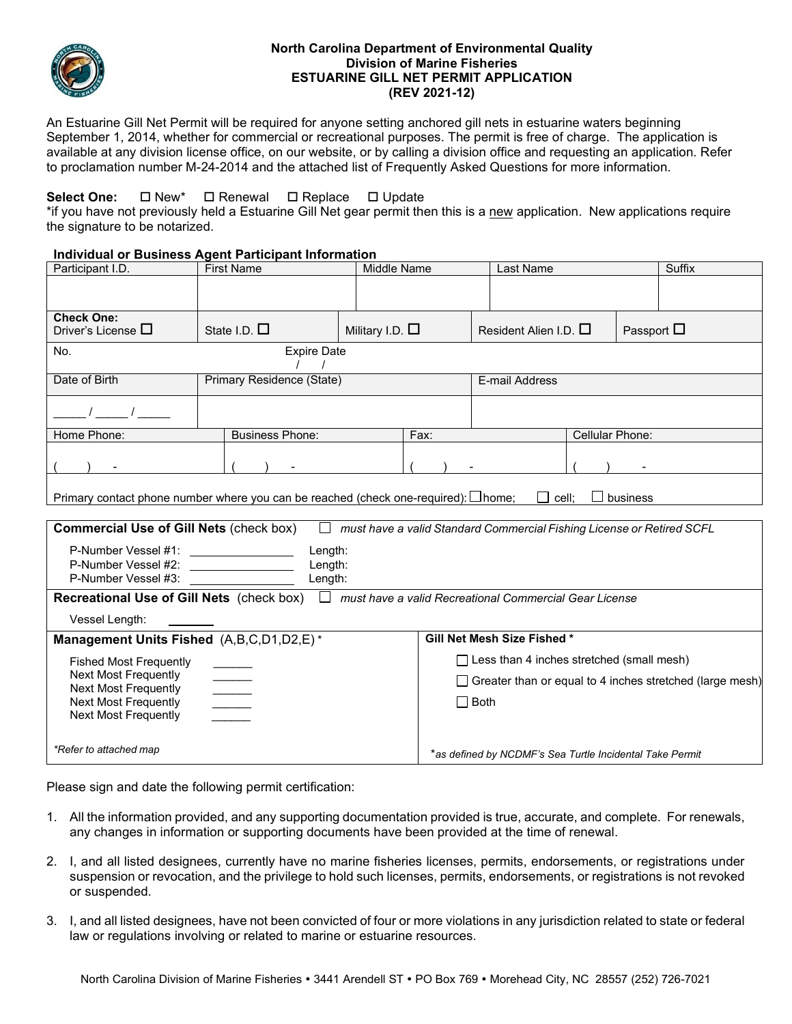

## **North Carolina Department of Environmental Quality Division of Marine Fisheries ESTUARINE GILL NET PERMIT APPLICATION (REV 2021-12)**

An Estuarine Gill Net Permit will be required for anyone setting anchored gill nets in estuarine waters beginning September 1, 2014, whether for commercial or recreational purposes. The permit is free of charge. The application is available at any division license office, on our website, or by calling a division office and requesting an application. Refer to proclamation number M-24-2014 and the attached list of Frequently Asked Questions for more information.

# Select One: □ New<sup>\*</sup> □ Renewal □ Replace □ Update

\*if you have not previously held a Estuarine Gill Net gear permit then this is a new application. New applications require the signature to be notarized.

## **Individual or Business Agent Participant Information**

| Participant I.D.                                                                                                                                                                                                                                                       | <b>First Name</b>         | Middle Name          |      | <b>Last Name</b>                                                      |  |                    | Suffix |
|------------------------------------------------------------------------------------------------------------------------------------------------------------------------------------------------------------------------------------------------------------------------|---------------------------|----------------------|------|-----------------------------------------------------------------------|--|--------------------|--------|
|                                                                                                                                                                                                                                                                        |                           |                      |      |                                                                       |  |                    |        |
| <b>Check One:</b><br>Driver's License $\square$                                                                                                                                                                                                                        | State I.D. $\Box$         | Military I.D. $\Box$ |      | Resident Alien I.D. $\Box$                                            |  | Passport $\square$ |        |
| No.                                                                                                                                                                                                                                                                    | <b>Expire Date</b>        |                      |      |                                                                       |  |                    |        |
| Date of Birth                                                                                                                                                                                                                                                          | Primary Residence (State) |                      |      | E-mail Address                                                        |  |                    |        |
|                                                                                                                                                                                                                                                                        |                           |                      |      |                                                                       |  |                    |        |
| Home Phone:                                                                                                                                                                                                                                                            | <b>Business Phone:</b>    |                      | Fax: | Cellular Phone:                                                       |  |                    |        |
|                                                                                                                                                                                                                                                                        |                           |                      |      |                                                                       |  |                    |        |
| Primary contact phone number where you can be reached (check one-required): $\Box$ home;                                                                                                                                                                               |                           |                      |      | cell:                                                                 |  | $\Box$ business    |        |
|                                                                                                                                                                                                                                                                        | $\perp$                   |                      |      |                                                                       |  |                    |        |
| <b>Commercial Use of Gill Nets (check box)</b>                                                                                                                                                                                                                         |                           |                      |      | must have a valid Standard Commercial Fishing License or Retired SCFL |  |                    |        |
| P-Number Vessel #1: \\connect{\sigma_{\sigma_{\sigma_{\sigma_{\sigma_{\sigma_{\sigma_{\sigma_{\sigma_{\sigma_{\sigma_{\sigma_{\sigma_{\sigma_{\sigma_{\sigma_{\sigma_{\sigma_{\sigma_{\sigma_{\sigma_{\sigma_{\sigma_{\sigma_{                                         | Length:                   |                      |      |                                                                       |  |                    |        |
| P-Number Vessel #2:<br>Length:<br><u> De Carlos de Carlos de Carlos de Carlos de Carlos de Carlos de Carlos de Carlos de Carlos de Carlos de Carlos de Carlos de Carlos de Carlos de Carlos de Carlos de Carlos de Carlos de Carlos de Carlos de Carlos de Carlos </u> |                           |                      |      |                                                                       |  |                    |        |
| P-Number Vessel #3:<br>Length:                                                                                                                                                                                                                                         |                           |                      |      |                                                                       |  |                    |        |
| Recreational Use of Gill Nets (check box)<br>$\pm$<br>must have a valid Recreational Commercial Gear License                                                                                                                                                           |                           |                      |      |                                                                       |  |                    |        |
| Vessel Length:                                                                                                                                                                                                                                                         |                           |                      |      |                                                                       |  |                    |        |
| Management Units Fished (A,B,C,D1,D2,E)*                                                                                                                                                                                                                               |                           |                      |      | Gill Net Mesh Size Fished *                                           |  |                    |        |
| <b>Fished Most Frequently</b>                                                                                                                                                                                                                                          |                           |                      |      | $\Box$ Less than 4 inches stretched (small mesh)                      |  |                    |        |
| <b>Next Most Frequently</b>                                                                                                                                                                                                                                            |                           |                      |      | $\Box$ Greater than or equal to 4 inches stretched (large mesh)       |  |                    |        |
| <b>Next Most Frequently</b><br><b>Next Most Frequently</b>                                                                                                                                                                                                             | $\overline{\phantom{a}}$  |                      |      | $\Box$ Both                                                           |  |                    |        |
| Next Most Frequently                                                                                                                                                                                                                                                   |                           |                      |      |                                                                       |  |                    |        |
|                                                                                                                                                                                                                                                                        |                           |                      |      |                                                                       |  |                    |        |
| *Refer to attached map                                                                                                                                                                                                                                                 |                           |                      |      | *as defined by NCDMF's Sea Turtle Incidental Take Permit              |  |                    |        |

Please sign and date the following permit certification:

- 1. All the information provided, and any supporting documentation provided is true, accurate, and complete. For renewals, any changes in information or supporting documents have been provided at the time of renewal.
- 2. I, and all listed designees, currently have no marine fisheries licenses, permits, endorsements, or registrations under suspension or revocation, and the privilege to hold such licenses, permits, endorsements, or registrations is not revoked or suspended.
- 3. I, and all listed designees, have not been convicted of four or more violations in any jurisdiction related to state or federal law or regulations involving or related to marine or estuarine resources.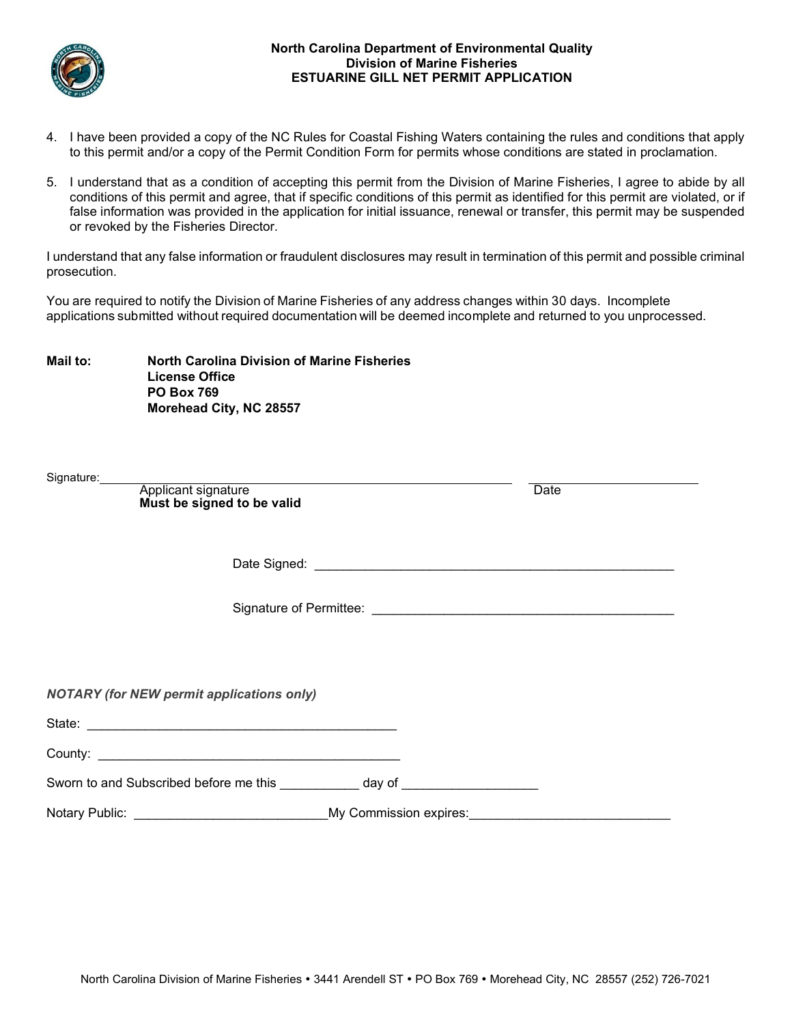

- 4. I have been provided a copy of the NC Rules for Coastal Fishing Waters containing the rules and conditions that apply to this permit and/or a copy of the Permit Condition Form for permits whose conditions are stated in proclamation.
- 5. I understand that as a condition of accepting this permit from the Division of Marine Fisheries, I agree to abide by all conditions of this permit and agree, that if specific conditions of this permit as identified for this permit are violated, or if false information was provided in the application for initial issuance, renewal or transfer, this permit may be suspended or revoked by the Fisheries Director.

I understand that any false information or fraudulent disclosures may result in termination of this permit and possible criminal prosecution.

You are required to notify the Division of Marine Fisheries of any address changes within 30 days. Incomplete applications submitted without required documentation will be deemed incomplete and returned to you unprocessed.

| Mail to: | <b>North Carolina Division of Marine Fisheries</b> |  |  |  |
|----------|----------------------------------------------------|--|--|--|
|          | License Office                                     |  |  |  |
|          | <b>PO Box 769</b>                                  |  |  |  |
|          | Morehead City, NC 28557                            |  |  |  |

| Applicant signature<br>Must be signed to be valid                                                   | Date |
|-----------------------------------------------------------------------------------------------------|------|
|                                                                                                     |      |
|                                                                                                     |      |
|                                                                                                     |      |
| <b>NOTARY (for NEW permit applications only)</b>                                                    |      |
|                                                                                                     |      |
|                                                                                                     |      |
|                                                                                                     |      |
| Notary Public: ________________________________My Commission expires:______________________________ |      |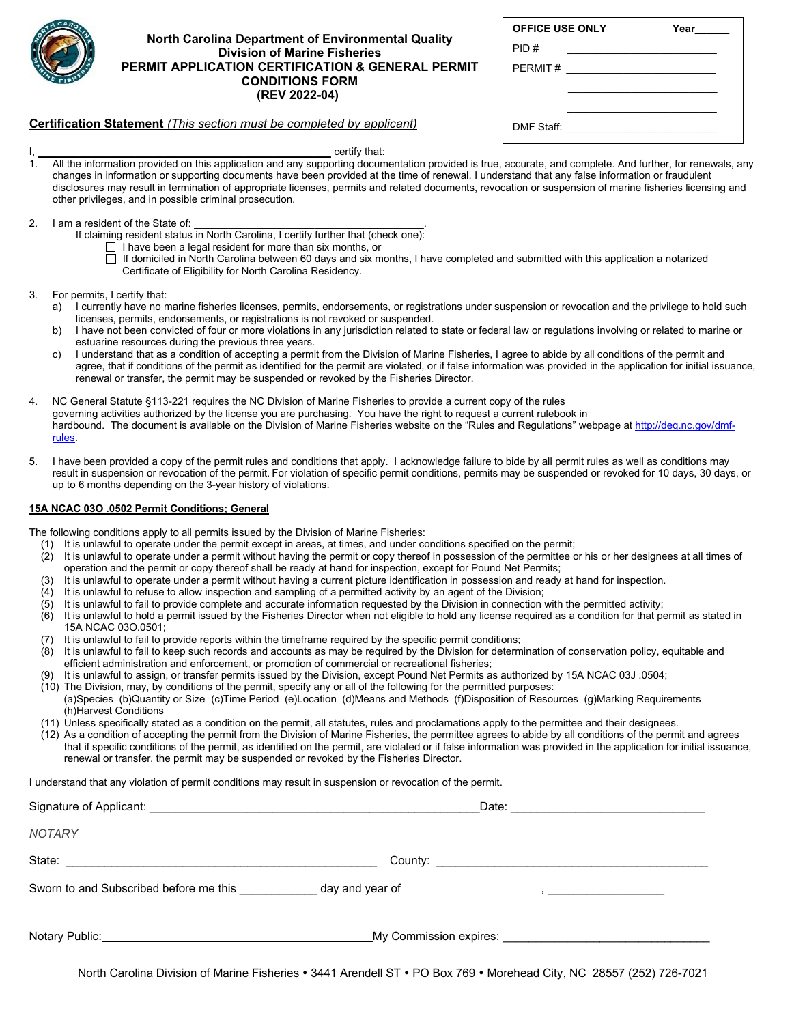

**North Carolina Department of Environmental Quality Division of Marine Fisheries PERMIT APPLICATION CERTIFICATION & GENERAL PERMIT CONDITIONS FORM (REV 2022-04)**

| <b>OFFICE USE ONLY</b> |  | Year |  |
|------------------------|--|------|--|
| PID#                   |  |      |  |
| PERMIT#                |  |      |  |
|                        |  |      |  |
| DMF Staff:             |  |      |  |

### **Certification Statement** *(This section must be completed by applicant)*

|  | certify that: |
|--|---------------|
|  |               |

- All the information provided on this application and any supporting documentation provided is true, accurate, and complete. And further, for renewals, any changes in information or supporting documents have been provided at the time of renewal. I understand that any false information or fraudulent disclosures may result in termination of appropriate licenses, permits and related documents, revocation or suspension of marine fisheries licensing and other privileges, and in possible criminal prosecution.
- 2. I am a resident of the State of:

If claiming resident status in North Carolina, I certify further that (check one):

- $\Box$  I have been a legal resident for more than six months, or
- $\Box$  If domiciled in North Carolina between 60 days and six months, I have completed and submitted with this application a notarized Certificate of Eligibility for North Carolina Residency.
- 3. For permits, I certify that:
	- a) I currently have no marine fisheries licenses, permits, endorsements, or registrations under suspension or revocation and the privilege to hold such licenses, permits, endorsements, or registrations is not revoked or suspended.
	- b) I have not been convicted of four or more violations in any jurisdiction related to state or federal law or regulations involving or related to marine or estuarine resources during the previous three years.
	- c) I understand that as a condition of accepting a permit from the Division of Marine Fisheries, I agree to abide by all conditions of the permit and agree, that if conditions of the permit as identified for the permit are violated, or if false information was provided in the application for initial issuance, renewal or transfer, the permit may be suspended or revoked by the Fisheries Director.
- 4. NC General Statute §113-221 requires the NC Division of Marine Fisheries to provide a current copy of the rules governing activities authorized by the license you are purchasing. You have the right to request a current rulebook in hardbound. The document is available on the Division of Marine Fisheries website on the "Rules and Regulations" webpage at [http://deq.nc.gov/dmf](http://deq.nc.gov/dmf-rules)[rules.](http://deq.nc.gov/dmf-rules)
- 5. I have been provided a copy of the permit rules and conditions that apply. I acknowledge failure to bide by all permit rules as well as conditions may result in suspension or revocation of the permit. For violation of specific permit conditions, permits may be suspended or revoked for 10 days, 30 days, or up to 6 months depending on the 3-year history of violations.

#### **15A NCAC 03O .0502 Permit Conditions; General**

The following conditions apply to all permits issued by the Division of Marine Fisheries:

- (1) It is unlawful to operate under the permit except in areas, at times, and under conditions specified on the permit;
- $(2)$  It is unlawful to operate under a permit without having the permit or copy thereof in possession of the permittee or his or her designees at all times of operation and the permit or copy thereof shall be ready at hand for inspection, except for Pound Net Permits;
- (3) It is unlawful to operate under a permit without having a current picture identification in possession and ready at hand for inspection.<br>(4) It is unlawful to refuse to allow inspection and sampling of a permitted acti
- It is unlawful to refuse to allow inspection and sampling of a permitted activity by an agent of the Division;
- (5) It is unlawful to fail to provide complete and accurate information requested by the Division in connection with the permitted activity;
- (6) It is unlawful to hold a permit issued by the Fisheries Director when not eligible to hold any license required as a condition for that permit as stated in 15A NCAC 03O.0501;
- (7) It is unlawful to fail to provide reports within the timeframe required by the specific permit conditions;
- (8) It is unlawful to fail to keep such records and accounts as may be required by the Division for determination of conservation policy, equitable and efficient administration and enforcement, or promotion of commercial or recreational fisheries;
- (9) It is unlawful to assign, or transfer permits issued by the Division, except Pound Net Permits as authorized by 15A NCAC 03J .0504;
- (10) The Division, may, by conditions of the permit, specify any or all of the following for the permitted purposes: (a)Species (b)Quantity or Size (c)Time Period (e)Location (d)Means and Methods (f)Disposition of Resources (g)Marking Requirements (h)Harvest Conditions
- (11) Unless specifically stated as a condition on the permit, all statutes, rules and proclamations apply to the permittee and their designees.
- (12) As a condition of accepting the permit from the Division of Marine Fisheries, the permittee agrees to abide by all conditions of the permit and agrees that if specific conditions of the permit, as identified on the permit, are violated or if false information was provided in the application for initial issuance, renewal or transfer, the permit may be suspended or revoked by the Fisheries Director.

I understand that any violation of permit conditions may result in suspension or revocation of the permit.

| <b>NOTARY</b>                                                                                                                   |                                                          |  |
|---------------------------------------------------------------------------------------------------------------------------------|----------------------------------------------------------|--|
| State:<br><u> 1980 - Johann Harry Harry Harry Harry Harry Harry Harry Harry Harry Harry Harry Harry Harry Harry Harry Harry</u> |                                                          |  |
| Sworn to and Subscribed before me this                                                                                          | day and year of $\qquad \qquad \qquad .$                 |  |
| Notary Public:<br><u> 1980 - John Stein, Amerikaansk politiker (</u> † 1920)                                                    | My Commission expires: Note that the commission expires: |  |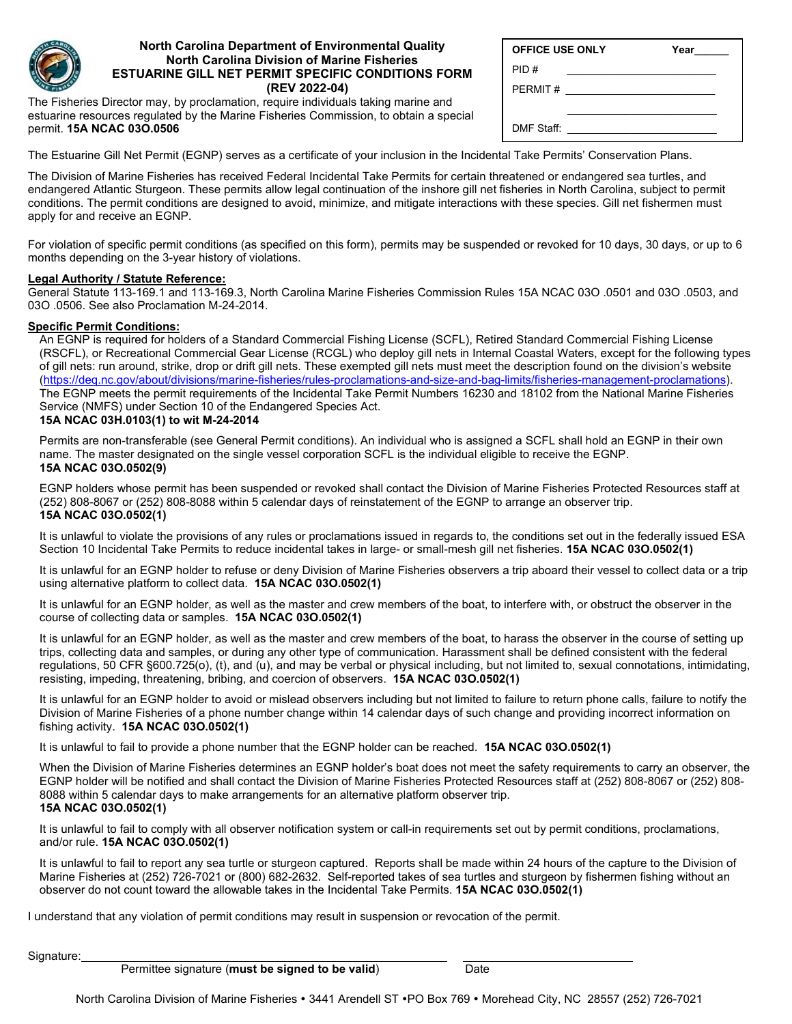

### **North Carolina Department of Environmental Quality North Carolina Division of Marine Fisheries ESTUARINE GILL NET PERMIT SPECIFIC CONDITIONS FORM (REV 2022-04)**

The Fisheries Director may, by proclamation, require individuals taking marine and estuarine resources regulated by the Marine Fisheries Commission, to obtain a special permit. **15A NCAC 03O.0506**

| <b>OFFICE USE ONLY</b> |  | Year |
|------------------------|--|------|
| PID#                   |  |      |
| PERMIT#                |  |      |
|                        |  |      |
| DMF Staff:             |  |      |

The Estuarine Gill Net Permit (EGNP) serves as a certificate of your inclusion in the Incidental Take Permits' Conservation Plans.

The Division of Marine Fisheries has received Federal Incidental Take Permits for certain threatened or endangered sea turtles, and endangered Atlantic Sturgeon. These permits allow legal continuation of the inshore gill net fisheries in North Carolina, subject to permit conditions. The permit conditions are designed to avoid, minimize, and mitigate interactions with these species. Gill net fishermen must apply for and receive an EGNP.

For violation of specific permit conditions (as specified on this form), permits may be suspended or revoked for 10 days, 30 days, or up to 6 months depending on the 3-year history of violations.

### **Legal Authority / Statute Reference:**

General Statute 113-169.1 and 113-169.3, North Carolina Marine Fisheries Commission Rules 15A NCAC 03O .0501 and 03O .0503, and 03O .0506. See also Proclamation M-24-2014.

### **Specific Permit Conditions:**

An EGNP is required for holders of a Standard Commercial Fishing License (SCFL), Retired Standard Commercial Fishing License (RSCFL), or Recreational Commercial Gear License (RCGL) who deploy gill nets in Internal Coastal Waters, except for the following types of gill nets: run around, strike, drop or drift gill nets. These exempted gill nets must meet the description found on the division's website [\(https://deq.nc.gov/about/divisions/marine-fisheries/rules-proclamations-and-size-and-bag-limits/fisheries-management-proclamations\)](https://deq.nc.gov/about/divisions/marine-fisheries/rules-proclamations-and-size-and-bag-limits/fisheries-management-proclamations). The EGNP meets the permit requirements of the Incidental Take Permit Numbers 16230 and 18102 from the National Marine Fisheries Service (NMFS) under Section 10 of the Endangered Species Act. **15A NCAC 03H.0103(1) to wit M-24-2014**

Permits are non-transferable (see General Permit conditions). An individual who is assigned a SCFL shall hold an EGNP in their own name. The master designated on the single vessel corporation SCFL is the individual eligible to receive the EGNP. **15A NCAC 03O.0502(9)**

EGNP holders whose permit has been suspended or revoked shall contact the Division of Marine Fisheries Protected Resources staff at (252) 808-8067 or (252) 808-8088 within 5 calendar days of reinstatement of the EGNP to arrange an observer trip. **15A NCAC 03O.0502(1)**

It is unlawful to violate the provisions of any rules or proclamations issued in regards to, the conditions set out in the federally issued ESA Section 10 Incidental Take Permits to reduce incidental takes in large- or small-mesh gill net fisheries. **15A NCAC 03O.0502(1)**

It is unlawful for an EGNP holder to refuse or deny Division of Marine Fisheries observers a trip aboard their vessel to collect data or a trip using alternative platform to collect data. **15A NCAC 03O.0502(1)**

It is unlawful for an EGNP holder, as well as the master and crew members of the boat, to interfere with, or obstruct the observer in the course of collecting data or samples. **15A NCAC 03O.0502(1)**

It is unlawful for an EGNP holder, as well as the master and crew members of the boat, to harass the observer in the course of setting up trips, collecting data and samples, or during any other type of communication. Harassment shall be defined consistent with the federal regulations, 50 CFR §600.725(o), (t), and (u), and may be verbal or physical including, but not limited to, sexual connotations, intimidating, resisting, impeding, threatening, bribing, and coercion of observers. **15A NCAC 03O.0502(1)**

It is unlawful for an EGNP holder to avoid or mislead observers including but not limited to failure to return phone calls, failure to notify the Division of Marine Fisheries of a phone number change within 14 calendar days of such change and providing incorrect information on fishing activity. **15A NCAC 03O.0502(1)**

It is unlawful to fail to provide a phone number that the EGNP holder can be reached. **15A NCAC 03O.0502(1)**

When the Division of Marine Fisheries determines an EGNP holder's boat does not meet the safety requirements to carry an observer, the EGNP holder will be notified and shall contact the Division of Marine Fisheries Protected Resources staff at (252) 808-8067 or (252) 808- 8088 within 5 calendar days to make arrangements for an alternative platform observer trip. **15A NCAC 03O.0502(1)**

It is unlawful to fail to comply with all observer notification system or call-in requirements set out by permit conditions, proclamations, and/or rule. **15A NCAC 03O.0502(1)**

It is unlawful to fail to report any sea turtle or sturgeon captured. Reports shall be made within 24 hours of the capture to the Division of Marine Fisheries at (252) 726-7021 or (800) 682-2632. Self-reported takes of sea turtles and sturgeon by fishermen fishing without an observer do not count toward the allowable takes in the Incidental Take Permits. **15A NCAC 03O.0502(1)**

I understand that any violation of permit conditions may result in suspension or revocation of the permit.

Signature:

Permittee signature (**must be signed to be valid**) Date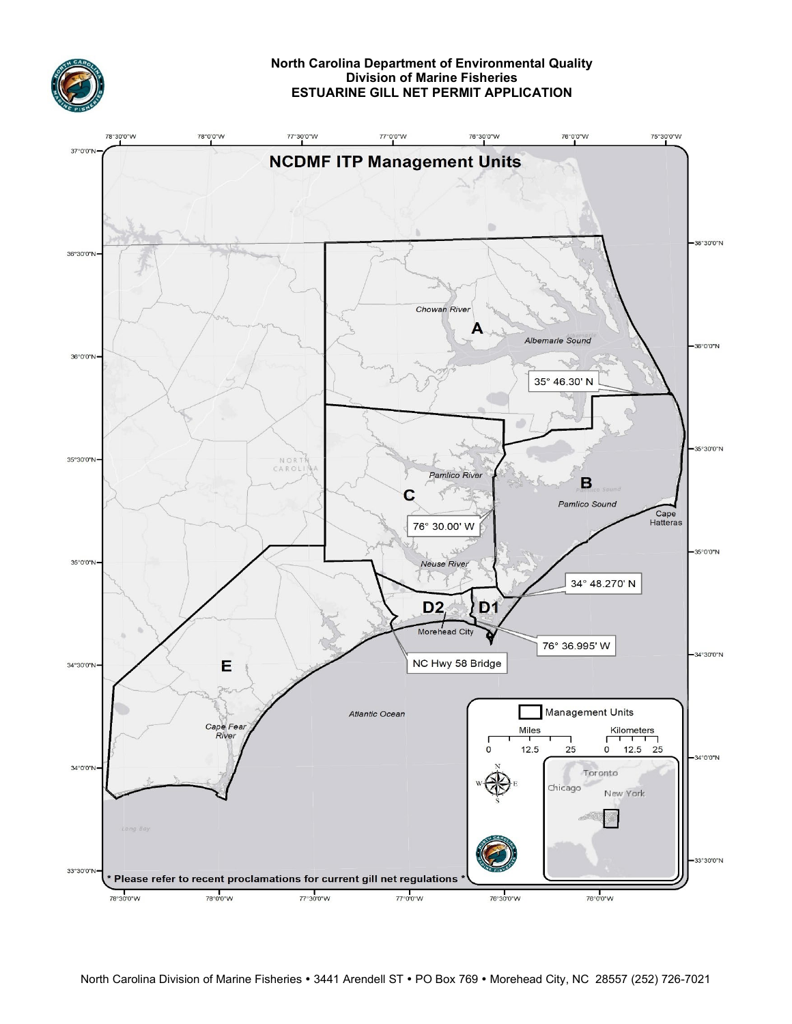

## **North Carolina Department of Environmental Quality Division of Marine Fisheries ESTUARINE GILL NET PERMIT APPLICATION**

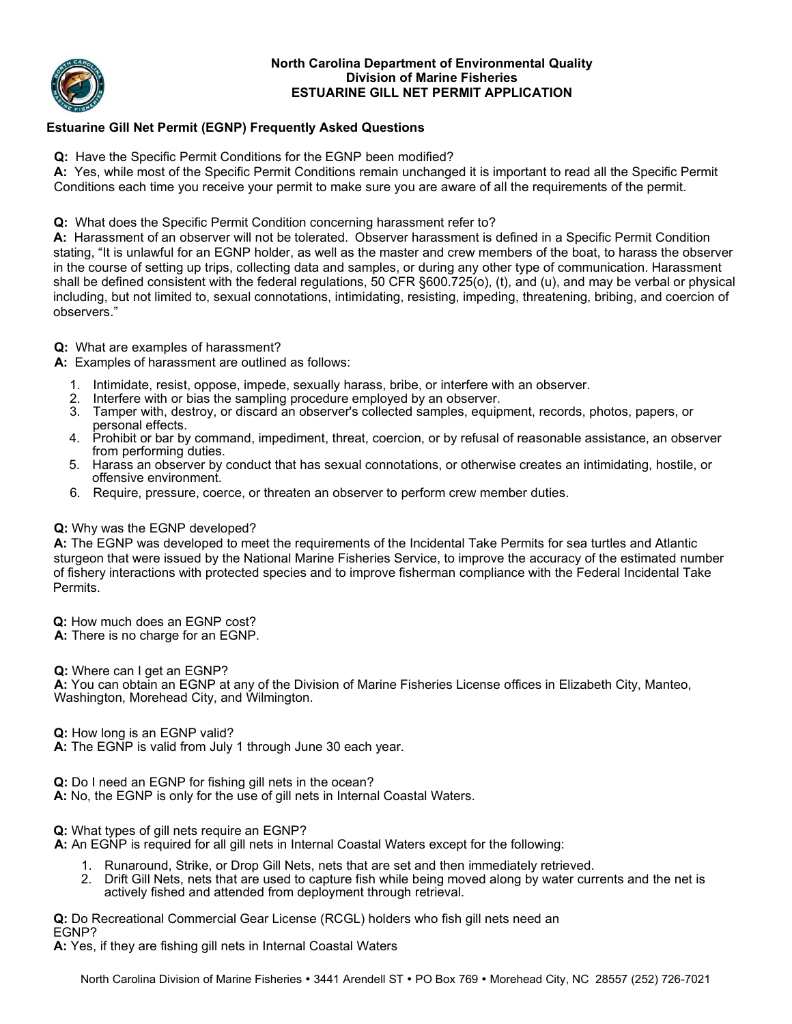

## **North Carolina Department of Environmental Quality Division of Marine Fisheries ESTUARINE GILL NET PERMIT APPLICATION**

# **Estuarine Gill Net Permit (EGNP) Frequently Asked Questions**

**Q:** Have the Specific Permit Conditions for the EGNP been modified?

**A:** Yes, while most of the Specific Permit Conditions remain unchanged it is important to read all the Specific Permit Conditions each time you receive your permit to make sure you are aware of all the requirements of the permit.

**Q:** What does the Specific Permit Condition concerning harassment refer to?

**A:** Harassment of an observer will not be tolerated. Observer harassment is defined in a Specific Permit Condition stating, "It is unlawful for an EGNP holder, as well as the master and crew members of the boat, to harass the observer in the course of setting up trips, collecting data and samples, or during any other type of communication. Harassment shall be defined consistent with the federal regulations, 50 CFR §600.725(o), (t), and (u), and may be verbal or physical including, but not limited to, sexual connotations, intimidating, resisting, impeding, threatening, bribing, and coercion of observers."

**Q:** What are examples of harassment?

**A:** Examples of harassment are outlined as follows:

- 1. Intimidate, resist, oppose, impede, sexually harass, bribe, or interfere with an observer.
- 2. Interfere with or bias the sampling procedure employed by an observer.
- 3. Tamper with, destroy, or discard an observer's collected samples, equipment, records, photos, papers, or personal effects.
- 4. Prohibit or bar by command, impediment, threat, coercion, or by refusal of reasonable assistance, an observer from performing duties.
- 5. Harass an observer by conduct that has sexual connotations, or otherwise creates an intimidating, hostile, or offensive environment.
- 6. Require, pressure, coerce, or threaten an observer to perform crew member duties.

## **Q:** Why was the EGNP developed?

**A:** The EGNP was developed to meet the requirements of the Incidental Take Permits for sea turtles and Atlantic sturgeon that were issued by the National Marine Fisheries Service, to improve the accuracy of the estimated number of fishery interactions with protected species and to improve fisherman compliance with the Federal Incidental Take Permits.

**Q:** How much does an EGNP cost?

**A:** There is no charge for an EGNP.

**Q:** Where can I get an EGNP?

**A:** You can obtain an EGNP at any of the Division of Marine Fisheries License offices in Elizabeth City, Manteo, Washington, Morehead City, and Wilmington.

**Q:** How long is an EGNP valid?

**A:** The EGNP is valid from July 1 through June 30 each year.

**Q:** Do I need an EGNP for fishing gill nets in the ocean?

**A:** No, the EGNP is only for the use of gill nets in Internal Coastal Waters.

**Q:** What types of gill nets require an EGNP?

**A:** An EGNP is required for all gill nets in Internal Coastal Waters except for the following:

- 1. Runaround, Strike, or Drop Gill Nets, nets that are set and then immediately retrieved.
- 2. Drift Gill Nets, nets that are used to capture fish while being moved along by water currents and the net is actively fished and attended from deployment through retrieval.

**Q:** Do Recreational Commercial Gear License (RCGL) holders who fish gill nets need an EGNP?

**A:** Yes, if they are fishing gill nets in Internal Coastal Waters